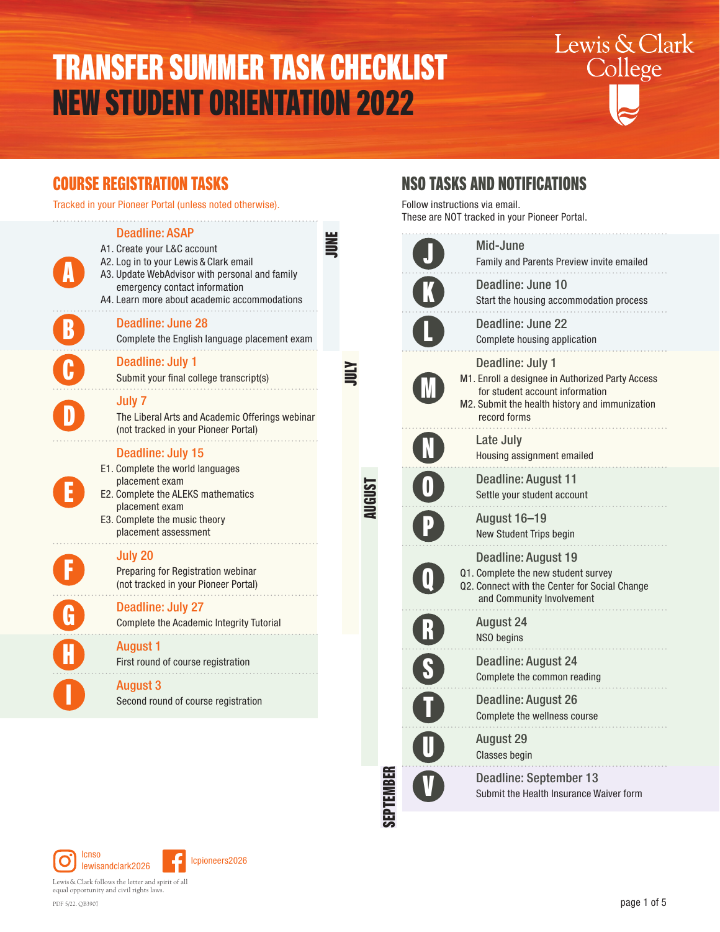# TRANSFER SUMMER TASK CHECKLIST NEW STUDENT ORIENTATION 2022



### COURSE REGISTRATION TASKS

Tracked in your Pioneer Portal (unless noted otherwise).

| <b>Deadline: ASAP</b><br>A1. Create your L&C account<br>A2. Log in to your Lewis & Clark email<br>A3. Update WebAdvisor with personal and family<br>emergency contact information<br>A4. Learn more about academic accommodations |  |
|-----------------------------------------------------------------------------------------------------------------------------------------------------------------------------------------------------------------------------------|--|
| <b>Deadline: June 28</b><br>Complete the English language placement exam                                                                                                                                                          |  |
| <b>Deadline: July 1</b><br>Submit your final college transcript(s)                                                                                                                                                                |  |
| <b>July 7</b><br>The Liberal Arts and Academic Offerings webinar<br>(not tracked in your Pioneer Portal)                                                                                                                          |  |
| <b>Deadline: July 15</b><br>E1. Complete the world languages<br>placement exam<br>E2. Complete the ALEKS mathematics<br>placement exam<br>E3. Complete the music theory<br>placement assessment                                   |  |
| July 20<br>Preparing for Registration webinar<br>(not tracked in your Pioneer Portal)                                                                                                                                             |  |
| <b>Deadline: July 27</b><br>Complete the Academic Integrity Tutorial                                                                                                                                                              |  |
| <b>August 1</b><br>First round of course registration                                                                                                                                                                             |  |
| <b>August 3</b><br>Second round of course registration                                                                                                                                                                            |  |
|                                                                                                                                                                                                                                   |  |

AUGUST

SEPTEMBER

## NSO TASKS AND NOTIFICATIONS

Follow instructions via email. These are NOT tracked in your Pioneer Portal.

| Mid-June<br>Family and Parents Preview invite emailed                                                                                                                     |
|---------------------------------------------------------------------------------------------------------------------------------------------------------------------------|
| Deadline: June 10<br>Start the housing accommodation process                                                                                                              |
| Deadline: June 22<br>Complete housing application                                                                                                                         |
| Deadline: July 1<br>M1. Enroll a designee in Authorized Party Access<br>for student account information<br>M2. Submit the health history and immunization<br>record forms |
| Late July<br>Housing assignment emailed                                                                                                                                   |
| Deadline: August 11<br>Settle your student account                                                                                                                        |
| <b>August 16-19</b><br>New Student Trips begin                                                                                                                            |
| Deadline: August 19<br>Q1. Complete the new student survey<br>Q2. Connect with the Center for Social Change<br>and Community Involvement                                  |
| <b>August 24</b><br>NSO begins                                                                                                                                            |
| Deadline: August 24<br>Complete the common reading                                                                                                                        |
| Deadline: August 26<br>Complete the wellness course                                                                                                                       |
| <b>August 29</b><br><b>Classes begin</b>                                                                                                                                  |
| <b>Deadline: September 13</b><br>Submit the Health Insurance Waiver form                                                                                                  |



Lewis&Clark follows the letter and spirit of all equal opportunity and civil rights laws. PDF 5/22. QB3907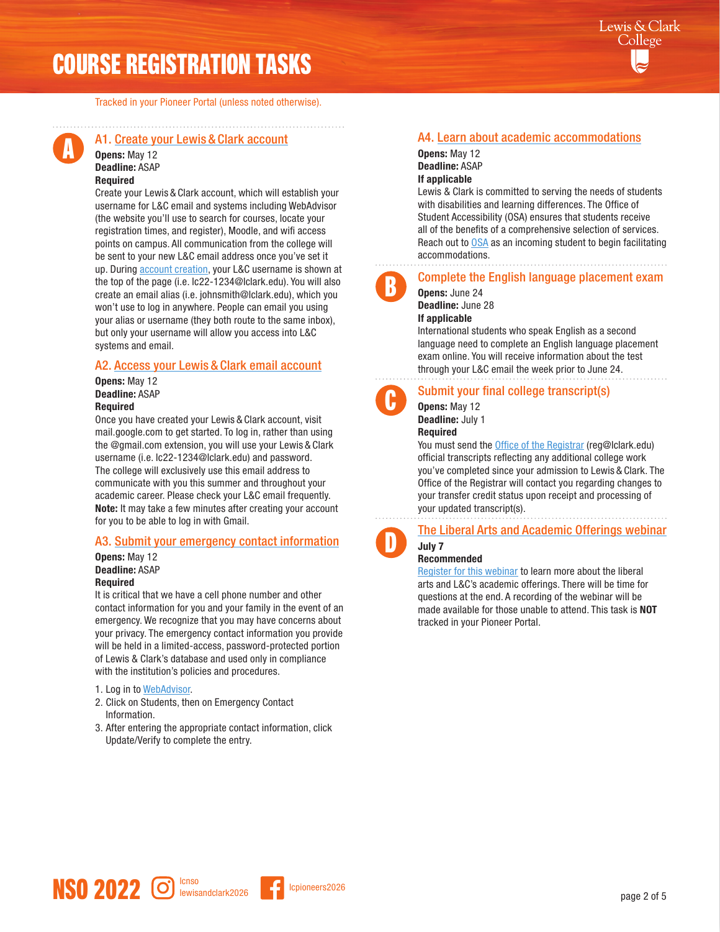# COURSE REGISTRATION TASKS

Tracked in your Pioneer Portal (unless noted otherwise).



#### A1. [Create your Lewis](http://go.lclark.edu/create_account) & Clark account

#### Opens: May 12 Deadline: ASAP Required

Create your Lewis & Clark account, which will establish your username for L&C email and systems including WebAdvisor (the website you'll use to search for courses, locate your registration times, and register), Moodle, and wifi access points on campus. All communication from the college will be sent to your new L&C email address once you've set it up. During **account creation**, your L&C username is shown at the top of the page (i.e. lc22-1234@lclark.edu). You will also create an email alias (i.e. johnsmith@lclark.edu), which you won't use to log in anywhere. People can email you using your alias or username (they both route to the same inbox), but only your username will allow you access into L&C systems and email.

#### A2. Access your Lewis & [Clark email account](http://mail.google.com/)

Opens: May 12 Deadline: ASAP **Required** 

Once you have created your Lewis & Clark account, visit mail.google.com to get started. To log in, rather than using the @gmail.com extension, you will use your Lewis & Clark username (i.e. lc22-1234@lclark.edu) and password. The college will exclusively use this email address to communicate with you this summer and throughout your academic career. Please check your L&C email frequently. Note: It may take a few minutes after creating your account for you to be able to log in with Gmail.

#### A3. [Submit your emergency contact information](https://webadvisor.lclark.edu/WebAdvisor/WebAdvisor?TYPE=M&PID=CORE-WBMAIN&TOKENIDX=4040238537)

#### Opens: May 12 Deadline: ASAP Required

It is critical that we have a cell phone number and other contact information for you and your family in the event of an emergency. We recognize that you may have concerns about your privacy. The emergency contact information you provide will be held in a limited-access, password-protected portion of Lewis & Clark's database and used only in compliance with the institution's policies and procedures.

#### 1. Log in to [WebAdvisor.](https://webadvisor.lclark.edu/WebAdvisor/WebAdvisor?TYPE=M&PID=CORE-WBMAIN&TOKENIDX=4670765454)

- 2. Click on Students, then on Emergency Contact Information.
- 3. After entering the appropriate contact information, click Update/Verify to complete the entry.

#### A4. [Learn about academic accommodations](https://www.lclark.edu/offices/student-accessibility/)

Opens: May 12 Deadline: ASAP If applicable

Lewis & Clark is committed to serving the needs of students with disabilities and learning differences. The Office of Student Accessibility (OSA) ensures that students receive all of the benefits of a comprehensive selection of services. Reach out to [OSA](https://www.lclark.edu/offices/student-accessibility/) as an incoming student to begin facilitating accommodations.

#### Complete the English language placement exam

Opens: June 24 B

C

#### Deadline: June 28

#### If applicable

International students who speak English as a second language need to complete an English language placement exam online. You will receive information about the test through your L&C email the week prior to June 24.

#### Submit your final college transcript(s)

## Opens: May 12

Deadline: July 1 Required

You must send the [Office of the Registrar](https://college.lclark.edu/offices/registrar/) (reg@lclark.edu)

official transcripts reflecting any additional college work you've completed since your admission to Lewis & Clark. The Office of the Registrar will contact you regarding changes to your transfer credit status upon receipt and processing of your updated transcript(s).



#### [The Liberal Arts and Academic Offerings webinar](https://zoom.us/webinar/register/WN_JAAhk_eGSWWLEjtkFvDJjQ)

#### July 7 Recommended

[Register for this webinar](https://zoom.us/webinar/register/WN_JAAhk_eGSWWLEjtkFvDJjQ) to learn more about the liberal arts and L&C's academic offerings. There will be time for questions at the end. A recording of the webinar will be made available for those unable to attend. This task is NOT tracked in your Pioneer Portal.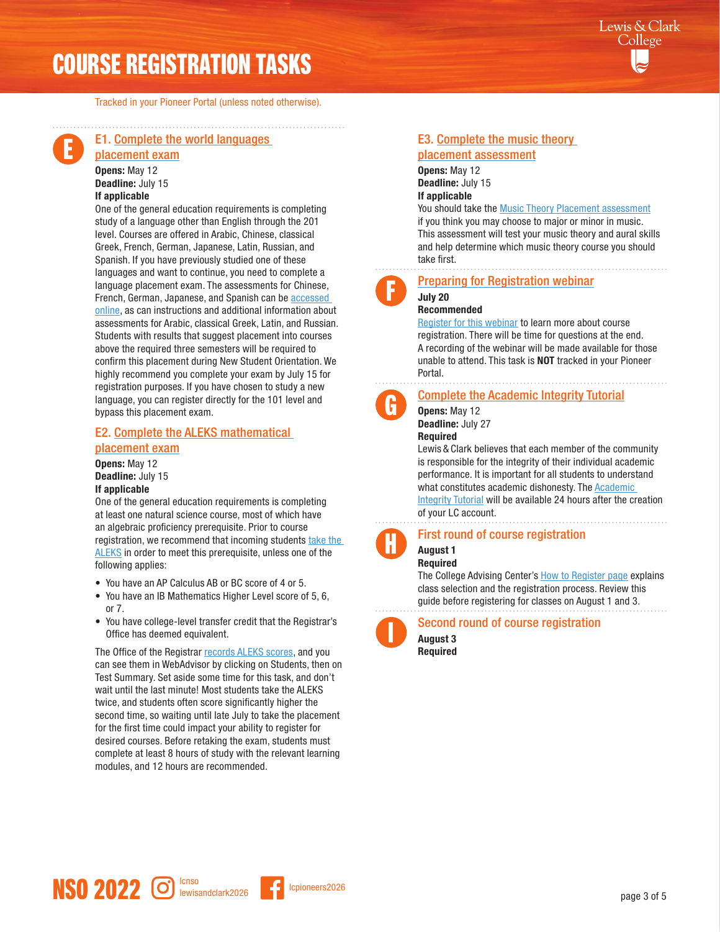# COURSE REGISTRATION TASKS

Tracked in your Pioneer Portal (unless noted otherwise).

# E

#### E1. [Complete the world languages](http://go.lclark.edu/world_languages/placement)

[placement exam](http://go.lclark.edu/world_languages/placement) Opens: May 12 Deadline: July 15 If applicable

One of the general education requirements is completing study of a language other than English through the 201 level. Courses are offered in Arabic, Chinese, classical Greek, French, German, Japanese, Latin, Russian, and Spanish. If you have previously studied one of these languages and want to continue, you need to complete a language placement exam. The assessments for Chinese, French, German, Japanese, and Spanish can be [accessed](https://college.lclark.edu/departments/world_languages/placement_exams/)  [online](https://college.lclark.edu/departments/world_languages/placement_exams/), as can instructions and additional information about assessments for Arabic, classical Greek, Latin, and Russian. Students with results that suggest placement into courses above the required three semesters will be required to confirm this placement during New Student Orientation. We highly recommend you complete your exam by July 15 for registration purposes. If you have chosen to study a new language, you can register directly for the 101 level and bypass this placement exam.

#### E2. [Complete the ALEKS mathematical](https://college.lclark.edu/departments/mathematical_sciences/sqrc/exam/incoming/)

#### [placement exam](https://college.lclark.edu/departments/mathematical_sciences/sqrc/exam/incoming/)

Opens: May 12 Deadline: July 15 If applicable

One of the general education requirements is completing at least one natural science course, most of which have an algebraic proficiency prerequisite. Prior to course registration, we recommend that incoming students [take the](https://college.lclark.edu/departments/mathematical_sciences/sqrc/exam/incoming/)  [ALEKS](https://college.lclark.edu/departments/mathematical_sciences/sqrc/exam/incoming/) in order to meet this prerequisite, unless one of the following applies:

- You have an AP Calculus AB or BC score of 4 or 5.
- You have an IB Mathematics Higher Level score of 5, 6, or 7.
- You have college-level transfer credit that the Registrar's Office has deemed equivalent.

The Office of the Registrar [records ALEKS scores](https://college.lclark.edu/departments/mathematical_sciences/sqrc/results/), and you can see them in WebAdvisor by clicking on Students, then on Test Summary. Set aside some time for this task, and don't wait until the last minute! Most students take the ALEKS twice, and students often score significantly higher the second time, so waiting until late July to take the placement for the first time could impact your ability to register for desired courses. Before retaking the exam, students must complete at least 8 hours of study with the relevant learning modules, and 12 hours are recommended.

### E3. [Complete the music theory](http://go.lclark.edu/music/placement)

[placement assessment](http://go.lclark.edu/music/placement) Opens: May 12 Deadline: July 15 If applicable

#### You should take the **Music Theory Placement assessment**

if you think you may choose to major or minor in music. This assessment will test your music theory and aural skills and help determine which music theory course you should take first.

F

G

H

#### [Preparing for Registration webinar](https://zoom.us/webinar/register/WN_lE81NKMeRDi86vcfv-Q25Q) July 20

#### Recommended

[Register for this webinar](https://zoom.us/webinar/register/WN_lE81NKMeRDi86vcfv-Q25Q) to learn more about course registration. There will be time for questions at the end. A recording of the webinar will be made available for those unable to attend. This task is NOT tracked in your Pioneer Portal.

#### [Complete the Academic Integrity Tutorial](https://college.lclark.edu/dean/academic-conduct/)

Opens: May 12 Deadline: July 27

Required

Lewis & Clark believes that each member of the community is responsible for the integrity of their individual academic performance. It is important for all students to understand what constitutes academic dishonesty. The [Academic](https://college.lclark.edu/dean/academic-conduct/)  [Integrity Tutorial](https://college.lclark.edu/dean/academic-conduct/) will be available 24 hours after the creation of your LC account.

First round of course registration

#### August 1 Required

The College Advising Center's [How to Register](https://college.lclark.edu/academics/support/advising/first-year/how-to-register/) page explains class selection and the registration process. Review this guide before registering for classes on August 1 and 3.

# I

## Second round of course registration

August 3 Required

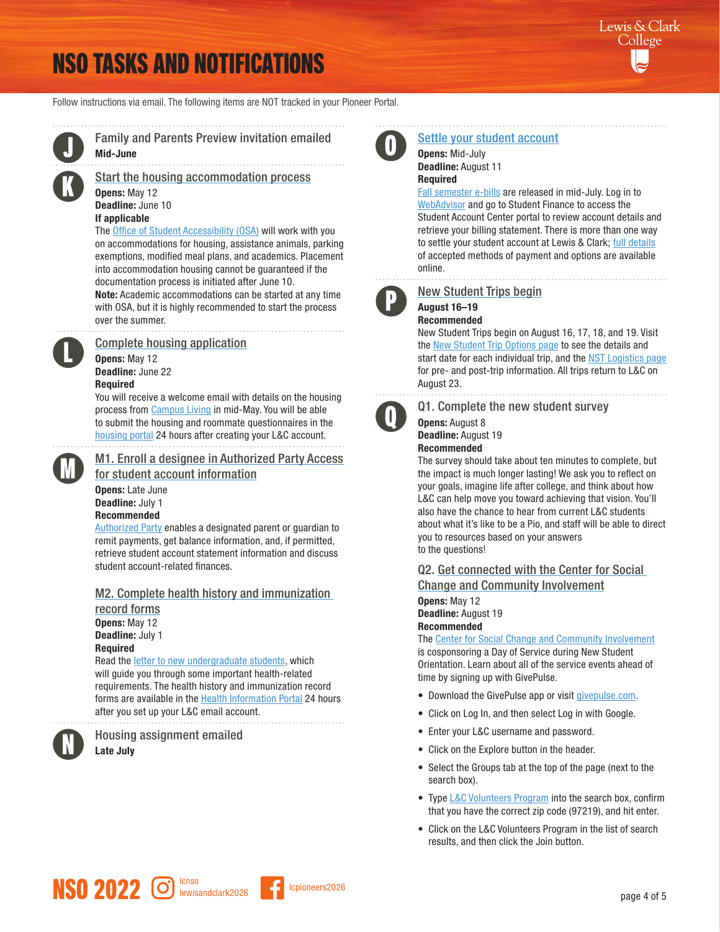# NSO TASKS AND NOTIFICATIONS

Follow instructions via email. The following items are NOT tracked in your Pioneer Portal.



Family and Parents Preview invitation emailed Mid-June

[Start the housing accommodation process](https://www.lclark.edu/offices/student-accessibility/) Opens: May 12 Deadline: June 10

### If applicable

The [Office of Student Accessibility](https://www.lclark.edu/offices/student-accessibility/) (OSA) will work with you on accommodations for housing, assistance animals, parking exemptions, modified meal plans, and academics. Placement into accommodation housing cannot be guaranteed if the documentation process is initiated after June 10. Note: Academic accommodations can be started at any time with OSA, but it is highly recommended to start the process over the summer.

#### [Complete housing a](https://lclark.starrezhousing.com/StarRezPortalX/)pplication

Opens: May 12 Deadline: June 22 Required

You will receive a welcome email with details on the housing process from [Campus Living](https://college.lclark.edu/student_life/campus_living/) in mid-May. You will be able to submit the housing and roommate questionnaires in the [housing portal](https://lclark.starrezhousing.com/StarRezPortalX/) 24 hours after creating your L&C account.



L

[M1. Enroll a designee in Authorized Party Access](https://www.lclark.edu/offices/account_services/student_statements/) [for student account information](https://www.lclark.edu/offices/account_services/student_statements/)

Opens: Late June Deadline: July 1 Recommended

[Authorized Party](https://www.lclark.edu/offices/account_services/student_statements/) enables a designated parent or guardian to remit payments, get balance information, and, if permitted, retrieve student account statement information and discuss student account-related finances.

#### M[2. Complete health history and immunization](http://go.lclark.edu/new_student_health_info)

[record forms](http://go.lclark.edu/new_student_health_info) Opens: May 12 Deadline: July 1 Required

Read the **[letter to new undergraduate students](http://go.lclark.edu/new_student_health_info)**, which will guide you through some important health-related requirements. The health history and immunization record forms are available in the [Health Information Portal](https://lclark.medicatconnect.com/) 24 hours after you set up your L&C email account.



Housing assignment emailed Late July



## [Settle your student account](https://webadvisor.lclark.edu/WebAdvisor/WebAdvisor?TYPE=M&PID=CORE-WBMAIN&TOKENIDX=5714315093)

Opens: Mid-July Deadline: August 11 Required

[Fall semester e-bills](https://www.lclark.edu/offices/account_services/student_statements/) are released in mid-July. Log in to [WebAdvisor](https://webadvisor.lclark.edu/WebAdvisor/WebAdvisor?TYPE=M&PID=CORE-WBMAIN&TOKENIDX=5714315093) and go to Student Finance to access the Student Account Center portal to review account details and retrieve your billing statement. There is more than one way to settle your student account at Lewis & Clark; [full details](https://www.lclark.edu/offices/account_services/settling_your_account/make_payments/) of accepted methods of payment and options are available online.



#### [New Student Trips begin](https://www.lclark.edu/programs/college_outdoors/programs/nst/) August 16–19

### Recommended

New Student Trips begin on August 16, 17, 18, and 19. Visit the [New Student Trip Options page](https://www.lclark.edu/programs/college_outdoors/programs/nst/trip-comparison-chart/) to see the details and start date for each individual trip, and the [NST Logistics page](https://www.lclark.edu/programs/college_outdoors/programs/nst/faq/)  for pre- and post-trip information. All trips return to L&C on August 23.



Q1. Complete the new student survey

#### Opens: August 8 Deadline: August 19 Recommended

The survey should take about ten minutes to complete, but the impact is much longer lasting! We ask you to reflect on your goals, imagine life after college, and think about how L&C can help move you toward achieving that vision. You'll also have the chance to hear from current L&C students about what it's like to be a Pio, and staff will be able to direct you to resources based on your answers to the questions!

Q2. Get connected with the Center for Social Change and Community Involvement

Opens: May 12 Deadline: August 19 Recommended

The [Center for Social Change and Community Involvement](https://college.lclark.edu/student_life/social_change/) is cosponsoring a Day of Service during New Student Orientation. Learn about all of the service events ahead of time by signing up with GivePulse.

- Download the GivePulse app or visit [givepulse.com.](https://www.givepulse.com/)
- Click on Log In, and then select Log in with Google.
- Enter your L&C username and password.
- Click on the Explore button in the header.
- Select the Groups tab at the top of the page (next to the search box).
- Type [L&C Volunteers Program](https://www.givepulse.com/group/239143-LandC-Volunteers-Program) into the search box, confirm that you have the correct zip code (97219), and hit enter.
- Click on the L&C Volunteers Program in the list of search results, and then click the Join button.